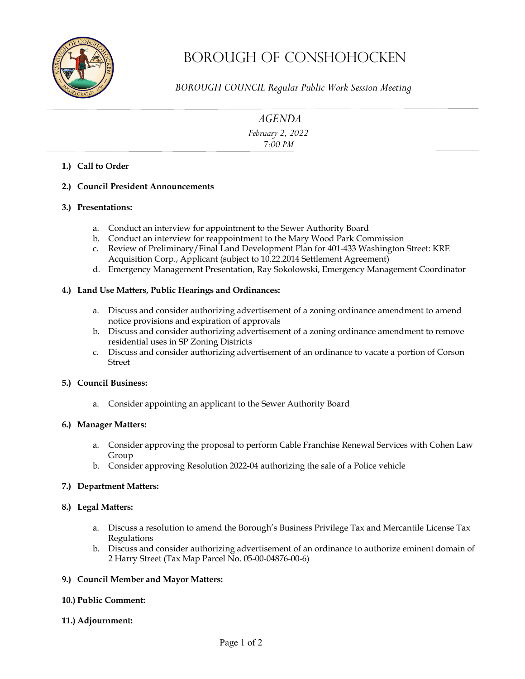

# Borough OF Conshohocken

*BOROUGH COUNCIL Regular Public Work Session Meeting* 

*AGENDA*

*February 2, 2022 7:00 PM* 

# **1.) Call to Order**

**2.) Council President Announcements**

## **3.) Presentations:**

- a. Conduct an interview for appointment to the Sewer Authority Board
- b. Conduct an interview for reappointment to the Mary Wood Park Commission
- c. Review of Preliminary/Final Land Development Plan for 401-433 Washington Street: KRE Acquisition Corp., Applicant (subject to 10.22.2014 Settlement Agreement)
- d. Emergency Management Presentation, Ray Sokolowski, Emergency Management Coordinator

## **4.) Land Use Matters, Public Hearings and Ordinances:**

- a. Discuss and consider authorizing advertisement of a zoning ordinance amendment to amend notice provisions and expiration of approvals
- b. Discuss and consider authorizing advertisement of a zoning ordinance amendment to remove residential uses in SP Zoning Districts
- c. Discuss and consider authorizing advertisement of an ordinance to vacate a portion of Corson Street

## **5.) Council Business:**

a. Consider appointing an applicant to the Sewer Authority Board

## **6.) Manager Matters:**

- a. Consider approving the proposal to perform Cable Franchise Renewal Services with Cohen Law Group
- b. Consider approving Resolution 2022-04 authorizing the sale of a Police vehicle

## **7.) Department Matters:**

## **8.) Legal Matters:**

- a. Discuss a resolution to amend the Borough's Business Privilege Tax and Mercantile License Tax Regulations
- b. Discuss and consider authorizing advertisement of an ordinance to authorize eminent domain of 2 Harry Street (Tax Map Parcel No. 05-00-04876-00-6)

## **9.) Council Member and Mayor Matters:**

## **10.) Public Comment:**

**11.) Adjournment:**